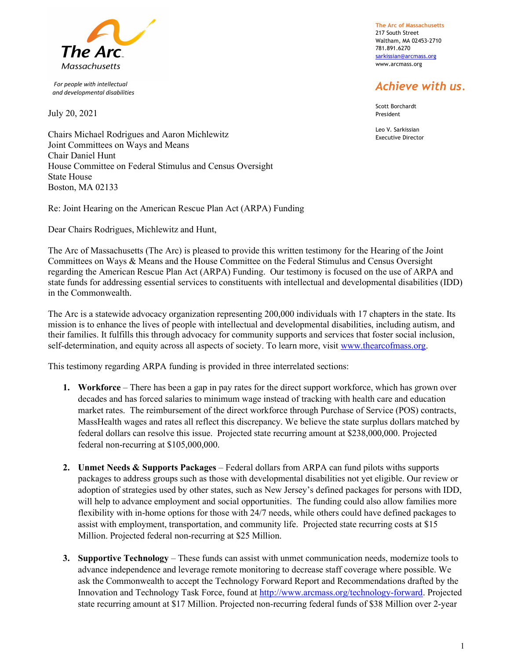

 For people with intellectual and developmental disabilities

July 20, 2021

The Arc of Massachusetts 217 South Street Waltham, MA 02453-2710 781.891.6270 sarkissian@arcmass.org www.arcmass.org

## Achieve with us.

Scott Borchardt President

Leo V. Sarkissian Executive Director

Chairs Michael Rodrigues and Aaron Michlewitz Joint Committees on Ways and Means Chair Daniel Hunt House Committee on Federal Stimulus and Census Oversight State House Boston, MA 02133

Re: Joint Hearing on the American Rescue Plan Act (ARPA) Funding

Dear Chairs Rodrigues, Michlewitz and Hunt,

The Arc of Massachusetts (The Arc) is pleased to provide this written testimony for the Hearing of the Joint Committees on Ways & Means and the House Committee on the Federal Stimulus and Census Oversight regarding the American Rescue Plan Act (ARPA) Funding. Our testimony is focused on the use of ARPA and state funds for addressing essential services to constituents with intellectual and developmental disabilities (IDD) in the Commonwealth.

The Arc is a statewide advocacy organization representing 200,000 individuals with 17 chapters in the state. Its mission is to enhance the lives of people with intellectual and developmental disabilities, including autism, and their families. It fulfills this through advocacy for community supports and services that foster social inclusion, self-determination, and equity across all aspects of society. To learn more, visit www.thearcofmass.org.

This testimony regarding ARPA funding is provided in three interrelated sections:

- 1. Workforce There has been a gap in pay rates for the direct support workforce, which has grown over decades and has forced salaries to minimum wage instead of tracking with health care and education market rates. The reimbursement of the direct workforce through Purchase of Service (POS) contracts, MassHealth wages and rates all reflect this discrepancy. We believe the state surplus dollars matched by federal dollars can resolve this issue. Projected state recurring amount at \$238,000,000. Projected federal non-recurring at \$105,000,000.
- 2. Unmet Needs & Supports Packages Federal dollars from ARPA can fund pilots withs supports packages to address groups such as those with developmental disabilities not yet eligible. Our review or adoption of strategies used by other states, such as New Jersey's defined packages for persons with IDD, will help to advance employment and social opportunities. The funding could also allow families more flexibility with in-home options for those with 24/7 needs, while others could have defined packages to assist with employment, transportation, and community life. Projected state recurring costs at \$15 Million. Projected federal non-recurring at \$25 Million.
- 3. Supportive Technology These funds can assist with unmet communication needs, modernize tools to advance independence and leverage remote monitoring to decrease staff coverage where possible. We ask the Commonwealth to accept the Technology Forward Report and Recommendations drafted by the Innovation and Technology Task Force, found at http://www.arcmass.org/technology-forward. Projected state recurring amount at \$17 Million. Projected non-recurring federal funds of \$38 Million over 2-year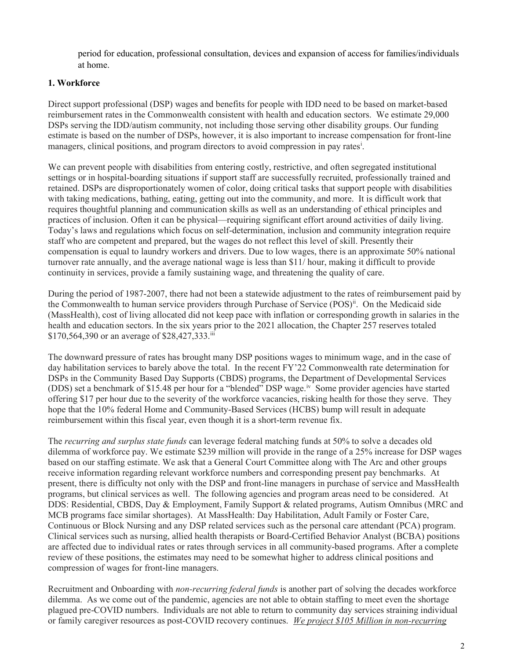period for education, professional consultation, devices and expansion of access for families/individuals at home.

## 1. Workforce

Direct support professional (DSP) wages and benefits for people with IDD need to be based on market-based reimbursement rates in the Commonwealth consistent with health and education sectors. We estimate 29,000 DSPs serving the IDD/autism community, not including those serving other disability groups. Our funding estimate is based on the number of DSPs, however, it is also important to increase compensation for front-line managers, clinical positions, and program directors to avoid compression in pay rates<sup>i</sup>.

We can prevent people with disabilities from entering costly, restrictive, and often segregated institutional settings or in hospital-boarding situations if support staff are successfully recruited, professionally trained and retained. DSPs are disproportionately women of color, doing critical tasks that support people with disabilities with taking medications, bathing, eating, getting out into the community, and more. It is difficult work that requires thoughtful planning and communication skills as well as an understanding of ethical principles and practices of inclusion. Often it can be physical—requiring significant effort around activities of daily living. Today's laws and regulations which focus on self-determination, inclusion and community integration require staff who are competent and prepared, but the wages do not reflect this level of skill. Presently their compensation is equal to laundry workers and drivers. Due to low wages, there is an approximate 50% national turnover rate annually, and the average national wage is less than \$11/ hour, making it difficult to provide continuity in services, provide a family sustaining wage, and threatening the quality of care.

During the period of 1987-2007, there had not been a statewide adjustment to the rates of reimbursement paid by the Commonwealth to human service providers through Purchase of Service (POS)<sup>ii</sup>. On the Medicaid side (MassHealth), cost of living allocated did not keep pace with inflation or corresponding growth in salaries in the health and education sectors. In the six years prior to the 2021 allocation, the Chapter 257 reserves totaled \$170,564,390 or an average of \$28,427,333.iii

The downward pressure of rates has brought many DSP positions wages to minimum wage, and in the case of day habilitation services to barely above the total. In the recent FY'22 Commonwealth rate determination for DSPs in the Community Based Day Supports (CBDS) programs, the Department of Developmental Services (DDS) set a benchmark of \$15.48 per hour for a "blended" DSP wage.iv Some provider agencies have started offering \$17 per hour due to the severity of the workforce vacancies, risking health for those they serve. They hope that the 10% federal Home and Community-Based Services (HCBS) bump will result in adequate reimbursement within this fiscal year, even though it is a short-term revenue fix.

The *recurring and surplus state funds* can leverage federal matching funds at 50% to solve a decades old dilemma of workforce pay. We estimate \$239 million will provide in the range of a 25% increase for DSP wages based on our staffing estimate. We ask that a General Court Committee along with The Arc and other groups receive information regarding relevant workforce numbers and corresponding present pay benchmarks. At present, there is difficulty not only with the DSP and front-line managers in purchase of service and MassHealth programs, but clinical services as well. The following agencies and program areas need to be considered. At DDS: Residential, CBDS, Day & Employment, Family Support & related programs, Autism Omnibus (MRC and MCB programs face similar shortages). At MassHealth: Day Habilitation, Adult Family or Foster Care, Continuous or Block Nursing and any DSP related services such as the personal care attendant (PCA) program. Clinical services such as nursing, allied health therapists or Board-Certified Behavior Analyst (BCBA) positions are affected due to individual rates or rates through services in all community-based programs. After a complete review of these positions, the estimates may need to be somewhat higher to address clinical positions and compression of wages for front-line managers.

Recruitment and Onboarding with *non-recurring federal funds* is another part of solving the decades workforce dilemma. As we come out of the pandemic, agencies are not able to obtain staffing to meet even the shortage plagued pre-COVID numbers. Individuals are not able to return to community day services straining individual or family caregiver resources as post-COVID recovery continues. We project \$105 Million in non-recurring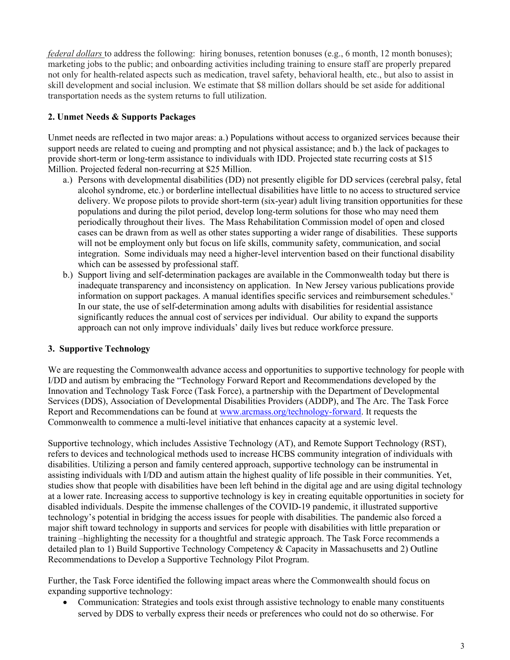federal dollars to address the following: hiring bonuses, retention bonuses (e.g., 6 month, 12 month bonuses); marketing jobs to the public; and onboarding activities including training to ensure staff are properly prepared not only for health-related aspects such as medication, travel safety, behavioral health, etc., but also to assist in skill development and social inclusion. We estimate that \$8 million dollars should be set aside for additional transportation needs as the system returns to full utilization.

## 2. Unmet Needs & Supports Packages

Unmet needs are reflected in two major areas: a.) Populations without access to organized services because their support needs are related to cueing and prompting and not physical assistance; and b.) the lack of packages to provide short-term or long-term assistance to individuals with IDD. Projected state recurring costs at \$15 Million. Projected federal non-recurring at \$25 Million.

- a.) Persons with developmental disabilities (DD) not presently eligible for DD services (cerebral palsy, fetal alcohol syndrome, etc.) or borderline intellectual disabilities have little to no access to structured service delivery. We propose pilots to provide short-term (six-year) adult living transition opportunities for these populations and during the pilot period, develop long-term solutions for those who may need them periodically throughout their lives. The Mass Rehabilitation Commission model of open and closed cases can be drawn from as well as other states supporting a wider range of disabilities. These supports will not be employment only but focus on life skills, community safety, communication, and social integration. Some individuals may need a higher-level intervention based on their functional disability which can be assessed by professional staff.
- b.) Support living and self-determination packages are available in the Commonwealth today but there is inadequate transparency and inconsistency on application. In New Jersey various publications provide information on support packages. A manual identifies specific services and reimbursement schedules.<sup>v</sup> In our state, the use of self-determination among adults with disabilities for residential assistance significantly reduces the annual cost of services per individual. Our ability to expand the supports approach can not only improve individuals' daily lives but reduce workforce pressure.

## 3. Supportive Technology

We are requesting the Commonwealth advance access and opportunities to supportive technology for people with I/DD and autism by embracing the "Technology Forward Report and Recommendations developed by the Innovation and Technology Task Force (Task Force), a partnership with the Department of Developmental Services (DDS), Association of Developmental Disabilities Providers (ADDP), and The Arc. The Task Force Report and Recommendations can be found at www.arcmass.org/technology-forward. It requests the Commonwealth to commence a multi-level initiative that enhances capacity at a systemic level.

Supportive technology, which includes Assistive Technology (AT), and Remote Support Technology (RST), refers to devices and technological methods used to increase HCBS community integration of individuals with disabilities. Utilizing a person and family centered approach, supportive technology can be instrumental in assisting individuals with I/DD and autism attain the highest quality of life possible in their communities. Yet, studies show that people with disabilities have been left behind in the digital age and are using digital technology at a lower rate. Increasing access to supportive technology is key in creating equitable opportunities in society for disabled individuals. Despite the immense challenges of the COVID-19 pandemic, it illustrated supportive technology's potential in bridging the access issues for people with disabilities. The pandemic also forced a major shift toward technology in supports and services for people with disabilities with little preparation or training –highlighting the necessity for a thoughtful and strategic approach. The Task Force recommends a detailed plan to 1) Build Supportive Technology Competency & Capacity in Massachusetts and 2) Outline Recommendations to Develop a Supportive Technology Pilot Program.

Further, the Task Force identified the following impact areas where the Commonwealth should focus on expanding supportive technology:

 Communication: Strategies and tools exist through assistive technology to enable many constituents served by DDS to verbally express their needs or preferences who could not do so otherwise. For